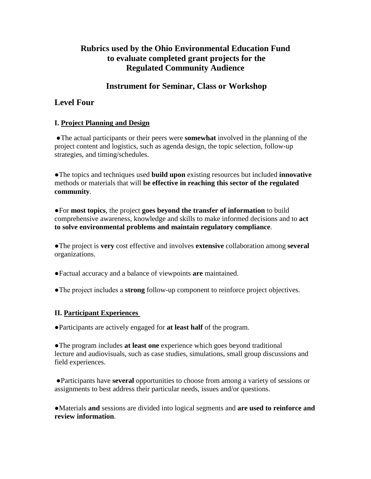# **Rubrics used by the Ohio Environmental Education Fund to evaluate completed grant projects for the Regulated Community Audience**

# **Instrument for Seminar, Class or Workshop**

# **Level Four**

## **I. Project Planning and Design**

●The actual participants or their peers were **somewhat** involved in the planning of the project content and logistics, such as agenda design, the topic selection, follow-up strategies, and timing/schedules.

●The topics and techniques used **build upon** existing resources but included **innovative** methods or materials that will **be effective in reaching this sector of the regulated community**.

●For **most topics**, the project **goes beyond the transfer of information** to build comprehensive awareness, knowledge and skills to make informed decisions and to **act to solve environmental problems and maintain regulatory compliance**.

●The project is **very** cost effective and involves **extensive** collaboration among **several** organizations.

●Factual accuracy and a balance of viewpoints **are** maintained.

●The project includes a **strong** follow-up component to reinforce project objectives.

## **II. Participant Experiences**

●Participants are actively engaged for **at least half** of the program.

●The program includes **at least one** experience which goes beyond traditional lecture and audiovisuals, such as case studies, simulations, small group discussions and field experiences.

●Participants have **several** opportunities to choose from among a variety of sessions or assignments to best address their particular needs, issues and/or questions.

●Materials **and** sessions are divided into logical segments and **are used to reinforce and review information**.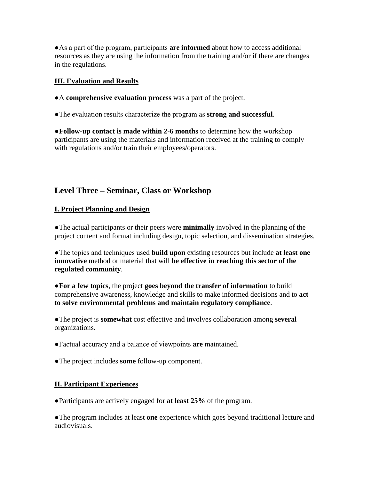●As a part of the program, participants **are informed** about how to access additional resources as they are using the information from the training and/or if there are changes in the regulations.

### **III. Evaluation and Results**

●A **comprehensive evaluation process** was a part of the project.

●The evaluation results characterize the program as **strong and successful**.

●**Follow-up contact is made within 2-6 months** to determine how the workshop participants are using the materials and information received at the training to comply with regulations and/or train their employees/operators.

# **Level Three – Seminar, Class or Workshop**

## **I. Project Planning and Design**

●The actual participants or their peers were **minimally** involved in the planning of the project content and format including design, topic selection, and dissemination strategies.

●The topics and techniques used **build upon** existing resources but include **at least one innovative** method or material that will **be effective in reaching this sector of the regulated community**.

●**For a few topics**, the project **goes beyond the transfer of information** to build comprehensive awareness, knowledge and skills to make informed decisions and to **act to solve environmental problems and maintain regulatory compliance**.

●The project is **somewhat** cost effective and involves collaboration among **several**  organizations.

●Factual accuracy and a balance of viewpoints **are** maintained.

●The project includes **some** follow-up component.

## **II. Participant Experiences**

●Participants are actively engaged for **at least 25%** of the program.

●The program includes at least **one** experience which goes beyond traditional lecture and audiovisuals.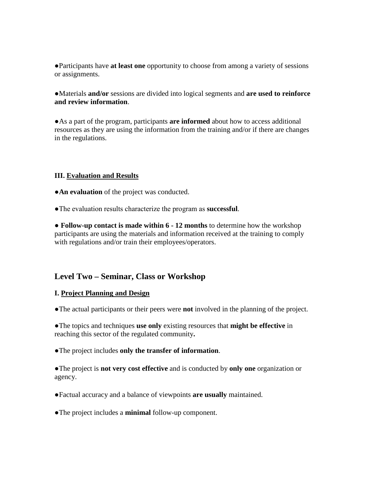●Participants have **at least one** opportunity to choose from among a variety of sessions or assignments.

●Materials **and/or** sessions are divided into logical segments and **are used to reinforce and review information**.

●As a part of the program, participants **are informed** about how to access additional resources as they are using the information from the training and/or if there are changes in the regulations.

#### **III. Evaluation and Results**

**• An evaluation** of the project was conducted.

●The evaluation results characterize the program as **successful**.

● **Follow-up contact is made within 6 - 12 months** to determine how the workshop participants are using the materials and information received at the training to comply with regulations and/or train their employees/operators.

### **Level Two – Seminar, Class or Workshop**

#### **I. Project Planning and Design**

●The actual participants or their peers were **not** involved in the planning of the project.

●The topics and techniques **use only** existing resources that **might be effective** in reaching this sector of the regulated community**.**

●The project includes **only the transfer of information**.

●The project is **not very cost effective** and is conducted by **only one** organization or agency.

●Factual accuracy and a balance of viewpoints **are usually** maintained.

●The project includes a **minimal** follow-up component.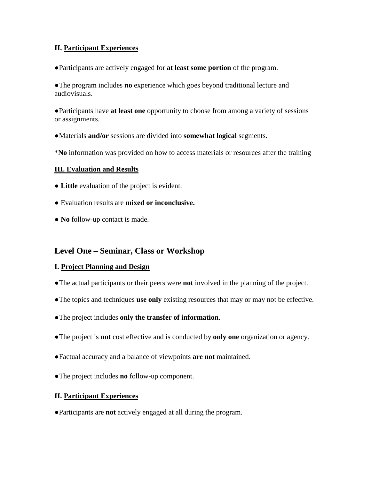### **II. Participant Experiences**

●Participants are actively engaged for **at least some portion** of the program.

●The program includes **no** experience which goes beyond traditional lecture and audiovisuals.

●Participants have **at least one** opportunity to choose from among a variety of sessions or assignments.

- ●Materials **and/or** sessions are divided into **somewhat logical** segments.
- \***No** information was provided on how to access materials or resources after the training

#### **III. Evaluation and Results**

- **Little** evaluation of the project is evident.
- Evaluation results are **mixed or inconclusive.**
- **No** follow-up contact is made.

## **Level One – Seminar, Class or Workshop**

#### **I. Project Planning and Design**

- ●The actual participants or their peers were **not** involved in the planning of the project.
- ●The topics and techniques **use only** existing resources that may or may not be effective.
- ●The project includes **only the transfer of information**.
- ●The project is **not** cost effective and is conducted by **only one** organization or agency.
- ●Factual accuracy and a balance of viewpoints **are not** maintained.
- ●The project includes **no** follow-up component.

#### **II. Participant Experiences**

●Participants are **not** actively engaged at all during the program.